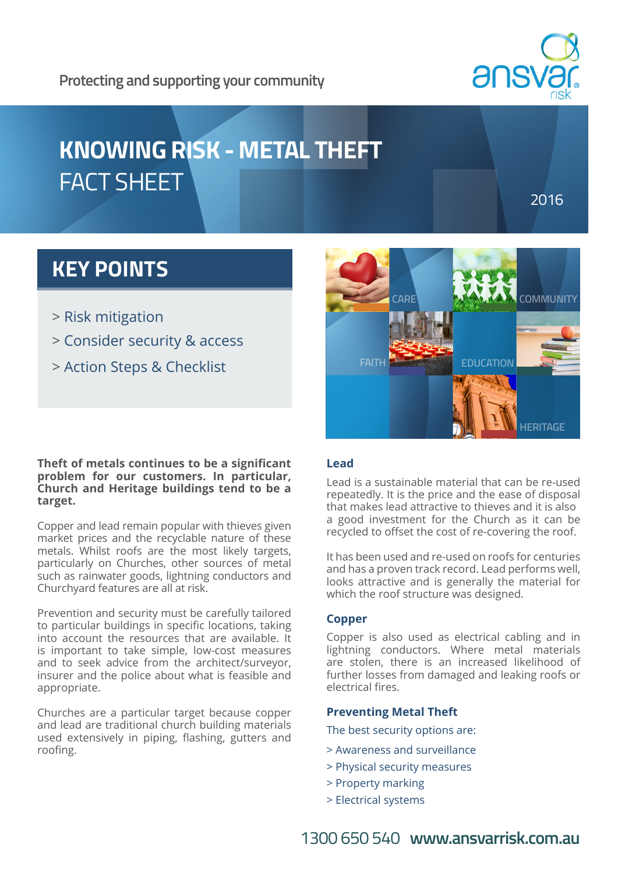### **Protecting and supporting your community**



# **KNOWING RISK - METAL THEFT** FACT SHEET

2016

# **KEY POINTS**

- > Risk mitigation
- > Consider security & access
- > Action Steps & Checklist

**Theft of metals continues to be a significant problem for our customers. In particular, Church and Heritage buildings tend to be a target.**

Copper and lead remain popular with thieves given market prices and the recyclable nature of these metals. Whilst roofs are the most likely targets, particularly on Churches, other sources of metal such as rainwater goods, lightning conductors and Churchyard features are all at risk.

Prevention and security must be carefully tailored to particular buildings in specific locations, taking into account the resources that are available. It is important to take simple, low-cost measures and to seek advice from the architect/surveyor, insurer and the police about what is feasible and appropriate.

Churches are a particular target because copper and lead are traditional church building materials used extensively in piping, flashing, gutters and roofing.



#### **Lead**

Lead is a sustainable material that can be re-used repeatedly. It is the price and the ease of disposal that makes lead attractive to thieves and it is also a good investment for the Church as it can be recycled to offset the cost of re-covering the roof.

It has been used and re-used on roofs for centuries and has a proven track record. Lead performs well, looks attractive and is generally the material for which the roof structure was designed.

#### **Copper**

Copper is also used as electrical cabling and in lightning conductors. Where metal materials are stolen, there is an increased likelihood of further losses from damaged and leaking roofs or electrical fires.

#### **Preventing Metal Theft**

The best security options are:

- > Awareness and surveillance
- > Physical security measures
- > Property marking
- > Electrical systems

1300 650 540 **www.ansvarrisk.com.au**